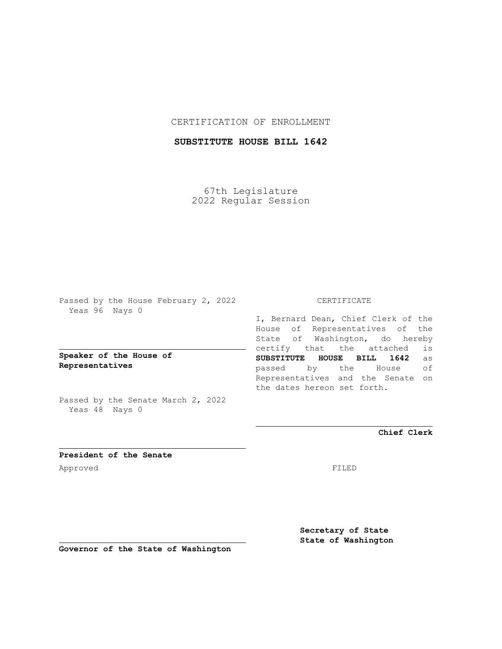## CERTIFICATION OF ENROLLMENT

# **SUBSTITUTE HOUSE BILL 1642**

67th Legislature 2022 Regular Session

Passed by the House February 2, 2022 Yeas 96 Nays 0

**Speaker of the House of Representatives**

Passed by the Senate March 2, 2022 Yeas 48 Nays 0

#### CERTIFICATE

I, Bernard Dean, Chief Clerk of the House of Representatives of the State of Washington, do hereby certify that the attached is **SUBSTITUTE HOUSE BILL 1642** as passed by the House of Representatives and the Senate on the dates hereon set forth.

**Chief Clerk**

**President of the Senate** Approved FILED

**Secretary of State State of Washington**

**Governor of the State of Washington**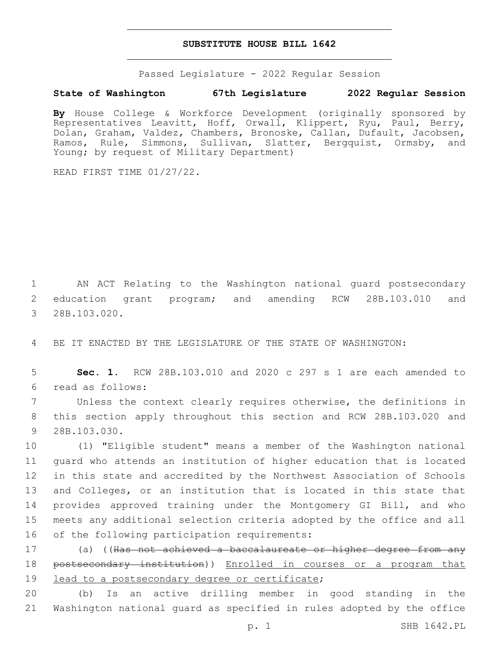#### **SUBSTITUTE HOUSE BILL 1642**

Passed Legislature - 2022 Regular Session

### **State of Washington 67th Legislature 2022 Regular Session**

**By** House College & Workforce Development (originally sponsored by Representatives Leavitt, Hoff, Orwall, Klippert, Ryu, Paul, Berry, Dolan, Graham, Valdez, Chambers, Bronoske, Callan, Dufault, Jacobsen, Ramos, Rule, Simmons, Sullivan, Slatter, Bergquist, Ormsby, and Young; by request of Military Department)

READ FIRST TIME 01/27/22.

1 AN ACT Relating to the Washington national guard postsecondary 2 education grant program; and amending RCW 28B.103.010 and 3 28B.103.020.

4 BE IT ENACTED BY THE LEGISLATURE OF THE STATE OF WASHINGTON:

5 **Sec. 1.** RCW 28B.103.010 and 2020 c 297 s 1 are each amended to read as follows:6

7 Unless the context clearly requires otherwise, the definitions in 8 this section apply throughout this section and RCW 28B.103.020 and 9 28B.103.030.

 (1) "Eligible student" means a member of the Washington national guard who attends an institution of higher education that is located in this state and accredited by the Northwest Association of Schools 13 and Colleges, or an institution that is located in this state that provides approved training under the Montgomery GI Bill, and who meets any additional selection criteria adopted by the office and all 16 of the following participation requirements:

17 (a) ((Has not achieved a baccalaureate or higher degree from any 18 postsecondary institution)) Enrolled in courses or a program that 19 lead to a postsecondary degree or certificate;

20 (b) Is an active drilling member in good standing in the 21 Washington national guard as specified in rules adopted by the office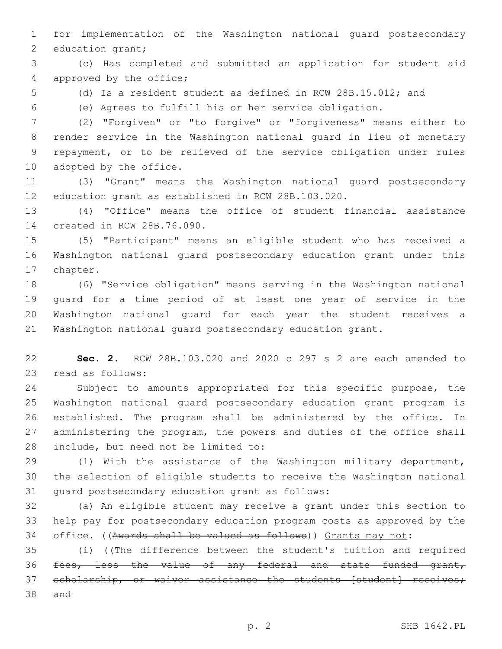for implementation of the Washington national guard postsecondary 2 education grant;

 (c) Has completed and submitted an application for student aid 4 approved by the office;

(d) Is a resident student as defined in RCW 28B.15.012; and

(e) Agrees to fulfill his or her service obligation.

 (2) "Forgiven" or "to forgive" or "forgiveness" means either to render service in the Washington national guard in lieu of monetary repayment, or to be relieved of the service obligation under rules 10 adopted by the office.

 (3) "Grant" means the Washington national guard postsecondary education grant as established in RCW 28B.103.020.

 (4) "Office" means the office of student financial assistance 14 created in RCW 28B.76.090.

 (5) "Participant" means an eligible student who has received a Washington national guard postsecondary education grant under this 17 chapter.

 (6) "Service obligation" means serving in the Washington national guard for a time period of at least one year of service in the Washington national guard for each year the student receives a Washington national guard postsecondary education grant.

 **Sec. 2.** RCW 28B.103.020 and 2020 c 297 s 2 are each amended to 23 read as follows:

 Subject to amounts appropriated for this specific purpose, the Washington national guard postsecondary education grant program is established. The program shall be administered by the office. In administering the program, the powers and duties of the office shall 28 include, but need not be limited to:

 (1) With the assistance of the Washington military department, the selection of eligible students to receive the Washington national 31 quard postsecondary education grant as follows:

 (a) An eligible student may receive a grant under this section to help pay for postsecondary education program costs as approved by the office. ((Awards shall be valued as follows)) Grants may not:

 (i) ((The difference between the student's tuition and required fees, less the value of any federal and state funded grant, 37 scholarship, or waiver assistance the students [student] receives; and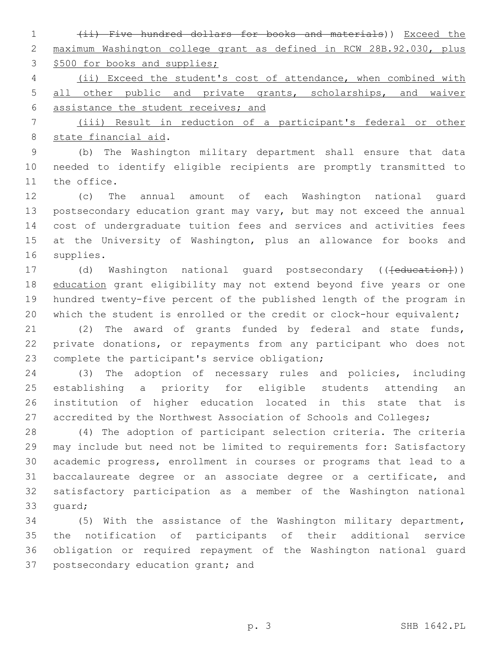(ii) Five hundred dollars for books and materials)) Exceed the maximum Washington college grant as defined in RCW 28B.92.030, plus 3 \$500 for books and supplies;

 (ii) Exceed the student's cost of attendance, when combined with 5 all other public and private grants, scholarships, and waiver assistance the student receives; and

 (iii) Result in reduction of a participant's federal or other 8 state financial aid.

 (b) The Washington military department shall ensure that data needed to identify eligible recipients are promptly transmitted to 11 the office.

 (c) The annual amount of each Washington national guard postsecondary education grant may vary, but may not exceed the annual cost of undergraduate tuition fees and services and activities fees at the University of Washington, plus an allowance for books and 16 supplies.

17 (d) Washington national guard postsecondary ((<del>[education]</del>)) 18 education grant eligibility may not extend beyond five years or one hundred twenty-five percent of the published length of the program in 20 which the student is enrolled or the credit or clock-hour equivalent;

 (2) The award of grants funded by federal and state funds, private donations, or repayments from any participant who does not 23 complete the participant's service obligation;

 (3) The adoption of necessary rules and policies, including establishing a priority for eligible students attending an institution of higher education located in this state that is 27 accredited by the Northwest Association of Schools and Colleges;

 (4) The adoption of participant selection criteria. The criteria may include but need not be limited to requirements for: Satisfactory academic progress, enrollment in courses or programs that lead to a baccalaureate degree or an associate degree or a certificate, and satisfactory participation as a member of the Washington national 33 quard;

 (5) With the assistance of the Washington military department, the notification of participants of their additional service obligation or required repayment of the Washington national guard 37 postsecondary education grant; and